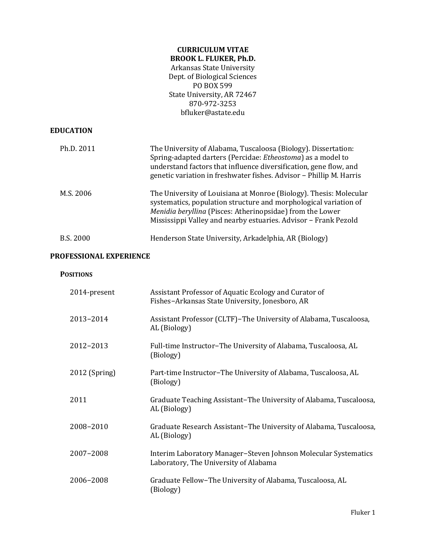# **CURRICULUM VITAE BROOK L. FLUKER, Ph.D.**

Arkansas State University Dept. of Biological Sciences PO BOX 599 State University, AR 72467 870-972-3253 bfluker@astate.edu

### **EDUCATION**

| Ph.D. 2011 | The University of Alabama, Tuscaloosa (Biology). Dissertation:<br>Spring-adapted darters (Percidae: <i>Etheostoma</i> ) as a model to<br>understand factors that influence diversification, gene flow, and<br>genetic variation in freshwater fishes. Advisor – Phillip M. Harris |
|------------|-----------------------------------------------------------------------------------------------------------------------------------------------------------------------------------------------------------------------------------------------------------------------------------|
| M.S. 2006  | The University of Louisiana at Monroe (Biology). Thesis: Molecular<br>systematics, population structure and morphological variation of<br>Menidia beryllina (Pisces: Atherinopsidae) from the Lower<br>Mississippi Valley and nearby estuaries. Advisor - Frank Pezold            |
| B.S. 2000  | Henderson State University, Arkadelphia, AR (Biology)                                                                                                                                                                                                                             |

#### **PROFESSIONAL EXPERIENCE**

#### **POSITIONS**

| 2014-present    | Assistant Professor of Aquatic Ecology and Curator of<br>Fishes-Arkansas State University, Jonesboro, AR |
|-----------------|----------------------------------------------------------------------------------------------------------|
| 2013-2014       | Assistant Professor (CLTF)–The University of Alabama, Tuscaloosa,<br>AL (Biology)                        |
| 2012-2013       | Full-time Instructor-The University of Alabama, Tuscaloosa, AL<br>(Biology)                              |
| $2012$ (Spring) | Part-time Instructor-The University of Alabama, Tuscaloosa, AL<br>(Biology)                              |
| 2011            | Graduate Teaching Assistant-The University of Alabama, Tuscaloosa,<br>AL (Biology)                       |
| 2008-2010       | Graduate Research Assistant-The University of Alabama, Tuscaloosa,<br>AL (Biology)                       |
| 2007-2008       | Interim Laboratory Manager-Steven Johnson Molecular Systematics<br>Laboratory, The University of Alabama |
| 2006-2008       | Graduate Fellow-The University of Alabama, Tuscaloosa, AL<br>(Biology)                                   |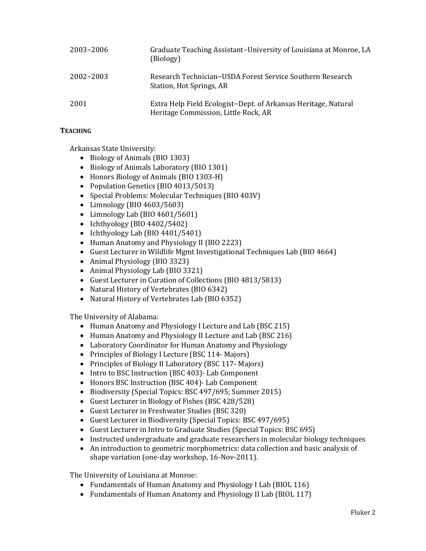| 2003-2006 | Graduate Teaching Assistant-University of Louisiana at Monroe, LA<br>(Biology)                         |
|-----------|--------------------------------------------------------------------------------------------------------|
| 2002-2003 | Research Technician–USDA Forest Service Southern Research<br>Station, Hot Springs, AR                  |
| 2001      | Extra Help Field Ecologist-Dept. of Arkansas Heritage, Natural<br>Heritage Commission, Little Rock, AR |

# **TEACHING**

Arkansas State University:

- Biology of Animals (BIO 1303)
- Biology of Animals Laboratory (BIO 1301)
- Honors Biology of Animals (BIO 1303-H)
- Population Genetics (BIO 4013/5013)
- Special Problems: Molecular Techniques (BIO 403V)
- Limnology (BIO 4603/5603)
- Limnology Lab (BIO 4601/5601)
- Ichthyology (BIO  $4402/5402$ )
- Ichthyology Lab (BIO 4401/5401)
- Human Anatomy and Physiology II (BIO 2223)
- Guest Lecturer in Wildlife Mgmt Investigational Techniques Lab (BIO 4664)
- Animal Physiology (BIO 3323)
- Animal Physiology Lab (BIO 3321)
- Guest Lecturer in Curation of Collections (BIO 4813/5813)
- Natural History of Vertebrates (BIO 6342)
- Natural History of Vertebrates Lab (BIO 6352)

The University of Alabama:

- Human Anatomy and Physiology I Lecture and Lab (BSC 215)
- Human Anatomy and Physiology II Lecture and Lab (BSC 216)
- Laboratory Coordinator for Human Anatomy and Physiology
- Principles of Biology I Lecture (BSC 114- Majors)
- Principles of Biology II Laboratory (BSC 117- Majors)
- Intro to BSC Instruction (BSC 403)- Lab Component
- Honors BSC Instruction (BSC 404)- Lab Component
- Biodiversity (Special Topics: BSC 497/695; Summer 2015)
- Guest Lecturer in Biology of Fishes (BSC 428/528)
- Guest Lecturer in Freshwater Studies (BSC 320)
- Guest Lecturer in Biodiversity (Special Topics: BSC 497/695)
- Guest Lecturer in Intro to Graduate Studies (Special Topics: BSC 695)
- Instructed undergraduate and graduate researchers in molecular biology techniques
- An introduction to geometric morphometrics: data collection and basic analysis of shape variation (one-day workshop, 16-Nov-2011).

The University of Louisiana at Monroe:

- Fundamentals of Human Anatomy and Physiology I Lab (BIOL 116)
- Fundamentals of Human Anatomy and Physiology II Lab (BIOL 117)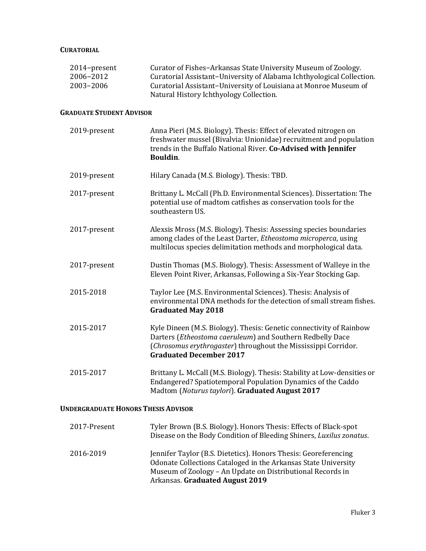#### **CURATORIAL**

| 2014-present<br>2006-2012<br>2003-2006 | Curator of Fishes-Arkansas State University Museum of Zoology.<br>Curatorial Assistant-University of Alabama Ichthyological Collection.<br>Curatorial Assistant-University of Louisiana at Monroe Museum of<br>Natural History Ichthyology Collection. |
|----------------------------------------|--------------------------------------------------------------------------------------------------------------------------------------------------------------------------------------------------------------------------------------------------------|
| <b>GRADUATE STUDENT ADVISOR</b>        |                                                                                                                                                                                                                                                        |
| 2019-present                           | Anna Pieri (M.S. Biology). Thesis: Effect of elevated nitrogen on<br>freshwater mussel (Bivalvia: Unionidae) recruitment and population<br>trends in the Buffalo National River. Co-Advised with Jennifer<br>Bouldin.                                  |
| 2019-present                           | Hilary Canada (M.S. Biology). Thesis: TBD.                                                                                                                                                                                                             |
| 2017-present                           | Brittany L. McCall (Ph.D. Environmental Sciences). Dissertation: The<br>potential use of madtom catfishes as conservation tools for the<br>southeastern US.                                                                                            |
| 2017-present                           | Alexsis Mross (M.S. Biology). Thesis: Assessing species boundaries<br>among clades of the Least Darter, Etheostoma microperca, using<br>multilocus species delimitation methods and morphological data.                                                |
| 2017-present                           | Dustin Thomas (M.S. Biology). Thesis: Assessment of Walleye in the<br>Eleven Point River, Arkansas, Following a Six-Year Stocking Gap.                                                                                                                 |
| 2015-2018                              | Taylor Lee (M.S. Environmental Sciences). Thesis: Analysis of<br>environmental DNA methods for the detection of small stream fishes.<br><b>Graduated May 2018</b>                                                                                      |
| 2015-2017                              | Kyle Dineen (M.S. Biology). Thesis: Genetic connectivity of Rainbow<br>Darters (Etheostoma caeruleum) and Southern Redbelly Dace<br>(Chrosomus erythrogaster) throughout the Mississippi Corridor.<br><b>Graduated December 2017</b>                   |
| 2015-2017                              | Brittany L. McCall (M.S. Biology). Thesis: Stability at Low-densities or<br>Endangered? Spatiotemporal Population Dynamics of the Caddo<br>Madtom (Noturus taylori). Graduated August 2017                                                             |
|                                        |                                                                                                                                                                                                                                                        |

# **UNDERGRADUATE HONORS THESIS ADVISOR**

| 2017-Present | Tyler Brown (B.S. Biology). Honors Thesis: Effects of Black-spot<br>Disease on the Body Condition of Bleeding Shiners, Luxilus zonatus.                                                                                            |
|--------------|------------------------------------------------------------------------------------------------------------------------------------------------------------------------------------------------------------------------------------|
| 2016-2019    | Jennifer Taylor (B.S. Dietetics). Honors Thesis: Georeferencing<br>Odonate Collections Cataloged in the Arkansas State University<br>Museum of Zoology – An Update on Distributional Records in<br>Arkansas. Graduated August 2019 |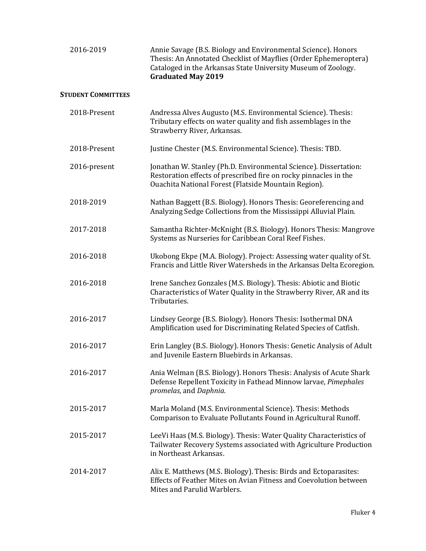| 2016-2019                 | Annie Savage (B.S. Biology and Environmental Science). Honors<br>Thesis: An Annotated Checklist of Mayflies (Order Ephemeroptera)<br>Cataloged in the Arkansas State University Museum of Zoology.<br><b>Graduated May 2019</b> |
|---------------------------|---------------------------------------------------------------------------------------------------------------------------------------------------------------------------------------------------------------------------------|
| <b>STUDENT COMMITTEES</b> |                                                                                                                                                                                                                                 |
| 2018-Present              | Andressa Alves Augusto (M.S. Environmental Science). Thesis:<br>Tributary effects on water quality and fish assemblages in the<br>Strawberry River, Arkansas.                                                                   |
| 2018-Present              | Justine Chester (M.S. Environmental Science). Thesis: TBD.                                                                                                                                                                      |
| 2016-present              | Jonathan W. Stanley (Ph.D. Environmental Science). Dissertation:<br>Restoration effects of prescribed fire on rocky pinnacles in the<br>Ouachita National Forest (Flatside Mountain Region).                                    |
| 2018-2019                 | Nathan Baggett (B.S. Biology). Honors Thesis: Georeferencing and<br>Analyzing Sedge Collections from the Mississippi Alluvial Plain.                                                                                            |
| 2017-2018                 | Samantha Richter-McKnight (B.S. Biology). Honors Thesis: Mangrove<br>Systems as Nurseries for Caribbean Coral Reef Fishes.                                                                                                      |
| 2016-2018                 | Ukobong Ekpe (M.A. Biology). Project: Assessing water quality of St.<br>Francis and Little River Watersheds in the Arkansas Delta Ecoregion.                                                                                    |
| 2016-2018                 | Irene Sanchez Gonzales (M.S. Biology). Thesis: Abiotic and Biotic<br>Characteristics of Water Quality in the Strawberry River, AR and its<br>Tributaries.                                                                       |
| 2016-2017                 | Lindsey George (B.S. Biology). Honors Thesis: Isothermal DNA<br>Amplification used for Discriminating Related Species of Catfish.                                                                                               |
| 2016-2017                 | Erin Langley (B.S. Biology). Honors Thesis: Genetic Analysis of Adult<br>and Juvenile Eastern Bluebirds in Arkansas.                                                                                                            |
| 2016-2017                 | Ania Welman (B.S. Biology). Honors Thesis: Analysis of Acute Shark<br>Defense Repellent Toxicity in Fathead Minnow larvae, Pimephales<br>promelas, and Daphnia.                                                                 |
| 2015-2017                 | Marla Moland (M.S. Environmental Science). Thesis: Methods<br>Comparison to Evaluate Pollutants Found in Agricultural Runoff.                                                                                                   |
| 2015-2017                 | LeeVi Haas (M.S. Biology). Thesis: Water Quality Characteristics of<br>Tailwater Recovery Systems associated with Agriculture Production<br>in Northeast Arkansas.                                                              |
| 2014-2017                 | Alix E. Matthews (M.S. Biology). Thesis: Birds and Ectoparasites:<br>Effects of Feather Mites on Avian Fitness and Coevolution between<br>Mites and Parulid Warblers.                                                           |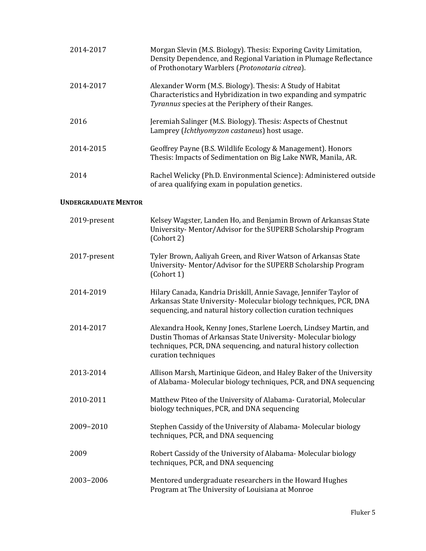| 2014-2017 | Morgan Slevin (M.S. Biology). Thesis: Exporing Cavity Limitation,<br>Density Dependence, and Regional Variation in Plumage Reflectance<br>of Prothonotary Warblers (Protonotaria citrea). |
|-----------|-------------------------------------------------------------------------------------------------------------------------------------------------------------------------------------------|
| 2014-2017 | Alexander Worm (M.S. Biology). Thesis: A Study of Habitat<br>Characteristics and Hybridization in two expanding and sympatric<br>Tyrannus species at the Periphery of their Ranges.       |
| 2016      | Jeremiah Salinger (M.S. Biology). Thesis: Aspects of Chestnut<br>Lamprey (Ichthyomyzon castaneus) host usage.                                                                             |
| 2014-2015 | Geoffrey Payne (B.S. Wildlife Ecology & Management). Honors<br>Thesis: Impacts of Sedimentation on Big Lake NWR, Manila, AR.                                                              |
| 2014      | Rachel Welicky (Ph.D. Environmental Science): Administered outside<br>of area qualifying exam in population genetics.                                                                     |

#### **UNDERGRADUATE MENTOR**

| 2019-present | Kelsey Wagster, Landen Ho, and Benjamin Brown of Arkansas State<br>University- Mentor/Advisor for the SUPERB Scholarship Program<br>(Cohort 2)                                                                               |
|--------------|------------------------------------------------------------------------------------------------------------------------------------------------------------------------------------------------------------------------------|
| 2017-present | Tyler Brown, Aaliyah Green, and River Watson of Arkansas State<br>University-Mentor/Advisor for the SUPERB Scholarship Program<br>(Cohort 1)                                                                                 |
| 2014-2019    | Hilary Canada, Kandria Driskill, Annie Savage, Jennifer Taylor of<br>Arkansas State University- Molecular biology techniques, PCR, DNA<br>sequencing, and natural history collection curation techniques                     |
| 2014-2017    | Alexandra Hook, Kenny Jones, Starlene Loerch, Lindsey Martin, and<br>Dustin Thomas of Arkansas State University- Molecular biology<br>techniques, PCR, DNA sequencing, and natural history collection<br>curation techniques |
| 2013-2014    | Allison Marsh, Martinique Gideon, and Haley Baker of the University<br>of Alabama-Molecular biology techniques, PCR, and DNA sequencing                                                                                      |
| 2010-2011    | Matthew Piteo of the University of Alabama- Curatorial, Molecular<br>biology techniques, PCR, and DNA sequencing                                                                                                             |
| 2009-2010    | Stephen Cassidy of the University of Alabama-Molecular biology<br>techniques, PCR, and DNA sequencing                                                                                                                        |
| 2009         | Robert Cassidy of the University of Alabama-Molecular biology<br>techniques, PCR, and DNA sequencing                                                                                                                         |
| 2003-2006    | Mentored undergraduate researchers in the Howard Hughes<br>Program at The University of Louisiana at Monroe                                                                                                                  |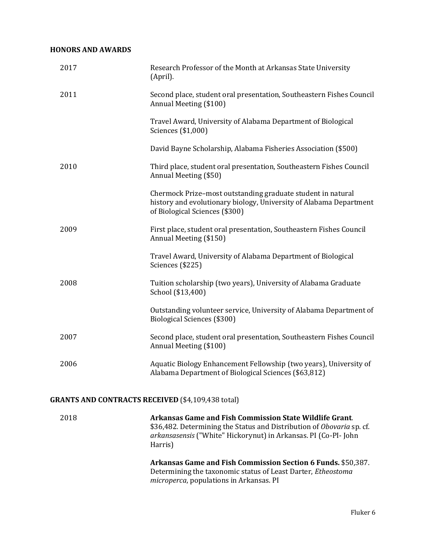# **HONORS AND AWARDS**

| 2017 | Research Professor of the Month at Arkansas State University<br>(April).                                                                                            |
|------|---------------------------------------------------------------------------------------------------------------------------------------------------------------------|
| 2011 | Second place, student oral presentation, Southeastern Fishes Council<br>Annual Meeting (\$100)                                                                      |
|      | Travel Award, University of Alabama Department of Biological<br>Sciences (\$1,000)                                                                                  |
|      | David Bayne Scholarship, Alabama Fisheries Association (\$500)                                                                                                      |
| 2010 | Third place, student oral presentation, Southeastern Fishes Council<br>Annual Meeting (\$50)                                                                        |
|      | Chermock Prize-most outstanding graduate student in natural<br>history and evolutionary biology, University of Alabama Department<br>of Biological Sciences (\$300) |
| 2009 | First place, student oral presentation, Southeastern Fishes Council<br>Annual Meeting (\$150)                                                                       |
|      | Travel Award, University of Alabama Department of Biological<br>Sciences (\$225)                                                                                    |
| 2008 | Tuition scholarship (two years), University of Alabama Graduate<br>School (\$13,400)                                                                                |
|      | Outstanding volunteer service, University of Alabama Department of<br>Biological Sciences (\$300)                                                                   |
| 2007 | Second place, student oral presentation, Southeastern Fishes Council<br>Annual Meeting (\$100)                                                                      |
| 2006 | Aquatic Biology Enhancement Fellowship (two years), University of<br>Alabama Department of Biological Sciences (\$63,812)                                           |
|      | <b>GRANTS AND CONTRACTS RECEIVED (\$4,109,438 total)</b>                                                                                                            |
| 2018 | Arkansas Game and Fish Commission State Wildlife Grant.<br>\$36,482. Determining the Status and Distribution of Obovaria sp. cf.                                    |

Harris) **Arkansas Game and Fish Commission Section 6 Funds.** \$50,387. Determining the taxonomic status of Least Darter, *Etheostoma microperca*, populations in Arkansas. PI

*arkansasensis* ("White" Hickorynut) in Arkansas. PI (Co-PI- John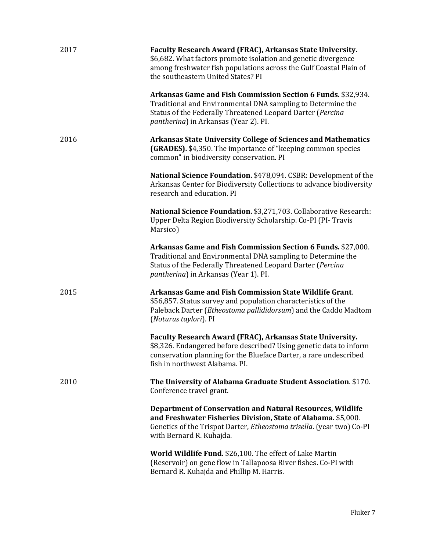| 2017 | Faculty Research Award (FRAC), Arkansas State University.<br>\$6,682. What factors promote isolation and genetic divergence<br>among freshwater fish populations across the Gulf Coastal Plain of<br>the southeastern United States? PI         |
|------|-------------------------------------------------------------------------------------------------------------------------------------------------------------------------------------------------------------------------------------------------|
|      | Arkansas Game and Fish Commission Section 6 Funds. \$32,934.<br>Traditional and Environmental DNA sampling to Determine the<br>Status of the Federally Threatened Leopard Darter (Percina<br><i>pantherina</i> ) in Arkansas (Year 2). PI.      |
| 2016 | <b>Arkansas State University College of Sciences and Mathematics</b><br>(GRADES). \$4,350. The importance of "keeping common species<br>common" in biodiversity conservation. PI                                                                |
|      | National Science Foundation. \$478,094. CSBR: Development of the<br>Arkansas Center for Biodiversity Collections to advance biodiversity<br>research and education. PI                                                                          |
|      | National Science Foundation. \$3,271,703. Collaborative Research:<br>Upper Delta Region Biodiversity Scholarship. Co-PI (PI- Travis<br>Marsico)                                                                                                 |
|      | Arkansas Game and Fish Commission Section 6 Funds. \$27,000.<br>Traditional and Environmental DNA sampling to Determine the<br>Status of the Federally Threatened Leopard Darter (Percina<br><i>pantherina</i> ) in Arkansas (Year 1). PI.      |
| 2015 | Arkansas Game and Fish Commission State Wildlife Grant.<br>\$56,857. Status survey and population characteristics of the<br>Paleback Darter (Etheostoma pallididorsum) and the Caddo Madtom<br>(Noturus taylori). PI                            |
|      | Faculty Research Award (FRAC), Arkansas State University.<br>\$8,326. Endangered before described? Using genetic data to inform<br>conservation planning for the Blueface Darter, a rare undescribed<br>fish in northwest Alabama. PI.          |
| 2010 | The University of Alabama Graduate Student Association. \$170.<br>Conference travel grant.                                                                                                                                                      |
|      | <b>Department of Conservation and Natural Resources, Wildlife</b><br>and Freshwater Fisheries Division, State of Alabama. \$5,000.<br>Genetics of the Trispot Darter, <i>Etheostoma trisella</i> . (year two) Co-PI<br>with Bernard R. Kuhajda. |
|      | World Wildlife Fund. \$26,100. The effect of Lake Martin<br>(Reservoir) on gene flow in Tallapoosa River fishes. Co-PI with<br>Bernard R. Kuhajda and Phillip M. Harris.                                                                        |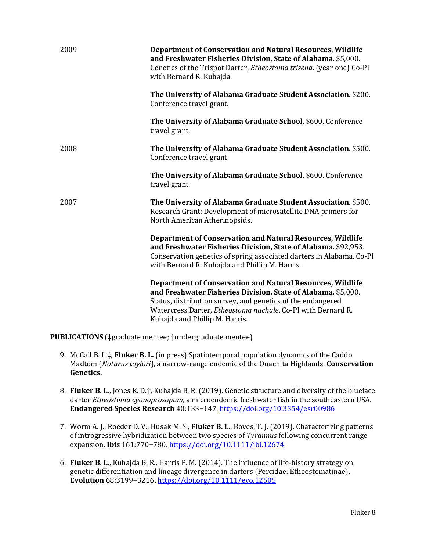| 2009 | <b>Department of Conservation and Natural Resources, Wildlife</b><br>and Freshwater Fisheries Division, State of Alabama. \$5,000.<br>Genetics of the Trispot Darter, <i>Etheostoma trisella</i> . (year one) Co-PI<br>with Bernard R. Kuhajda.                                                     |
|------|-----------------------------------------------------------------------------------------------------------------------------------------------------------------------------------------------------------------------------------------------------------------------------------------------------|
|      | The University of Alabama Graduate Student Association. \$200.<br>Conference travel grant.                                                                                                                                                                                                          |
|      | The University of Alabama Graduate School. \$600. Conference<br>travel grant.                                                                                                                                                                                                                       |
| 2008 | The University of Alabama Graduate Student Association. \$500.<br>Conference travel grant.                                                                                                                                                                                                          |
|      | The University of Alabama Graduate School. \$600. Conference<br>travel grant.                                                                                                                                                                                                                       |
| 2007 | The University of Alabama Graduate Student Association. \$500.<br>Research Grant: Development of microsatellite DNA primers for<br>North American Atherinopsids.                                                                                                                                    |
|      | <b>Department of Conservation and Natural Resources, Wildlife</b><br>and Freshwater Fisheries Division, State of Alabama. \$92,953.<br>Conservation genetics of spring associated darters in Alabama. Co-PI<br>with Bernard R. Kuhajda and Phillip M. Harris.                                       |
|      | <b>Department of Conservation and Natural Resources, Wildlife</b><br>and Freshwater Fisheries Division, State of Alabama. \$5,000.<br>Status, distribution survey, and genetics of the endangered<br>Watercress Darter, Etheostoma nuchale. Co-PI with Bernard R.<br>Kuhajda and Phillip M. Harris. |

**PUBLICATIONS** (‡graduate mentee; †undergraduate mentee)

- 9. McCall B. L.‡, **Fluker B. L.** (in press) Spatiotemporal population dynamics of the Caddo Madtom (*Noturus taylori*), a narrow-range endemic of the Ouachita Highlands. **Conservation Genetics.**
- 8. **Fluker B. L.**, Jones K. D.†, Kuhajda B. R. (2019). Genetic structure and diversity of the blueface darter *Etheostoma cyanoprosopum*, a microendemic freshwater fish in the southeastern USA. **Endangered Species Research** 40:133−147. <https://doi.org/10.3354/esr00986>
- 7. Worm A. J., Roeder D. V., Husak M. S., **Fluker B. L.**, Boves, T. J. (2019). Characterizing patterns of introgressive hybridization between two species of *Tyrannus* following concurrent range expansion. **Ibis** 161:770−780. <https://doi.org/10.1111/ibi.12674>
- 6. **Fluker B. L.**, Kuhajda B. R., Harris P. M. (2014). The influence of life-history strategy on genetic differentiation and lineage divergence in darters (Percidae: Etheostomatinae). **Evolution** 68:3199−3216**.** <https://doi.org/10.1111/evo.12505>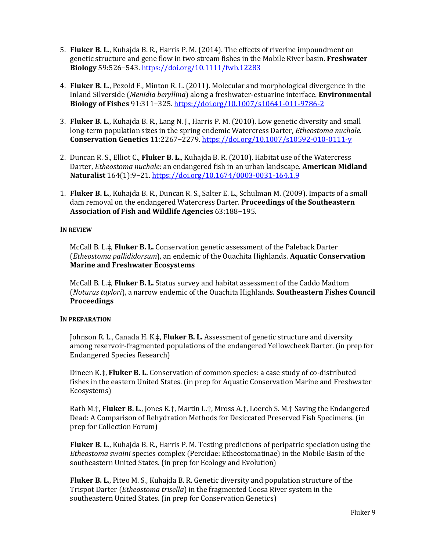- 5. **Fluker B. L.**, Kuhajda B. R., Harris P. M. (2014). The effects of riverine impoundment on genetic structure and gene flow in two stream fishes in the Mobile River basin. **Freshwater Biology** 59:526−543. <https://doi.org/10.1111/fwb.12283>
- 4. **Fluker B. L.**, Pezold F., Minton R. L. (2011). Molecular and morphological divergence in the Inland Silverside (*Menidia beryllina*) along a freshwater-estuarine interface. **Environmental Biology of Fishes** 91:311−325. <https://doi.org/10.1007/s10641-011-9786-2>
- 3. **Fluker B. L.**, Kuhajda B. R., Lang N. J., Harris P. M. (2010). Low genetic diversity and small long-term population sizes in the spring endemic Watercress Darter, *Etheostoma nuchale*. **Conservation Genetics** 11:2267−2279. <https://doi.org/10.1007/s10592-010-0111-y>
- 2. Duncan R. S., Elliot C., **Fluker B. L.**, Kuhajda B. R. (2010). Habitat use of the Watercress Darter, *Etheostoma nuchale*: an endangered fish in an urban landscape. **American Midland Naturalist** 164(1):9−21. <https://doi.org/10.1674/0003-0031-164.1.9>
- 1. **Fluker B. L.**, Kuhajda B. R., Duncan R. S., Salter E. L., Schulman M. (2009). Impacts of a small dam removal on the endangered Watercress Darter. **Proceedings of the Southeastern Association of Fish and Wildlife Agencies** 63:188−195.

#### **IN REVIEW**

McCall B. L.‡, **Fluker B. L.** Conservation genetic assessment of the Paleback Darter (*Etheostoma pallididorsum*), an endemic of the Ouachita Highlands. **Aquatic Conservation Marine and Freshwater Ecosystems**

McCall B. L.‡, **Fluker B. L.** Status survey and habitat assessment of the Caddo Madtom (*Noturus taylori*), a narrow endemic of the Ouachita Highlands. **Southeastern Fishes Council Proceedings**

#### **IN PREPARATION**

Johnson R. L., Canada H. K.‡, **Fluker B. L.** Assessment of genetic structure and diversity among reservoir-fragmented populations of the endangered Yellowcheek Darter. (in prep for Endangered Species Research)

Dineen K.‡, **Fluker B. L.** Conservation of common species: a case study of co-distributed fishes in the eastern United States. (in prep for Aquatic Conservation Marine and Freshwater Ecosystems)

Rath M.†, **Fluker B. L.**, Jones K.†, Martin L.†, Mross A.†, Loerch S. M.† Saving the Endangered Dead: A Comparison of Rehydration Methods for Desiccated Preserved Fish Specimens. (in prep for Collection Forum)

**Fluker B. L.**, Kuhajda B. R., Harris P. M. Testing predictions of peripatric speciation using the *Etheostoma swaini* species complex (Percidae: Etheostomatinae) in the Mobile Basin of the southeastern United States. (in prep for Ecology and Evolution)

**Fluker B. L.**, Piteo M. S., Kuhajda B. R. Genetic diversity and population structure of the Trispot Darter (*Etheostoma trisella*) in the fragmented Coosa River system in the southeastern United States. (in prep for Conservation Genetics)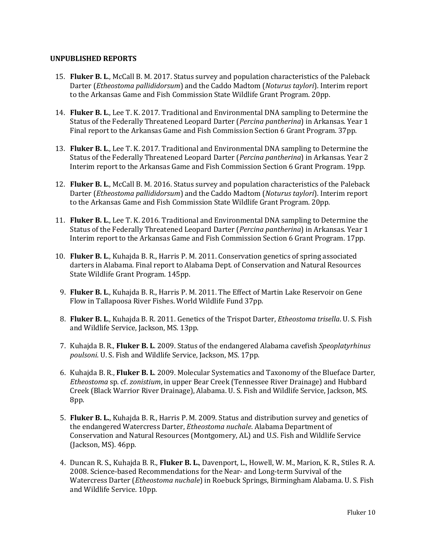#### **UNPUBLISHED REPORTS**

- 15. **Fluker B. L**., McCall B. M. 2017. Status survey and population characteristics of the Paleback Darter (*Etheostoma pallididorsum*) and the Caddo Madtom (*Noturus taylori*). Interim report to the Arkansas Game and Fish Commission State Wildlife Grant Program. 20pp.
- 14. **Fluker B. L**., Lee T. K. 2017. Traditional and Environmental DNA sampling to Determine the Status of the Federally Threatened Leopard Darter (*Percina pantherina*) in Arkansas. Year 1 Final report to the Arkansas Game and Fish Commission Section 6 Grant Program. 37pp.
- 13. **Fluker B. L**., Lee T. K. 2017. Traditional and Environmental DNA sampling to Determine the Status of the Federally Threatened Leopard Darter (*Percina pantherina*) in Arkansas. Year 2 Interim report to the Arkansas Game and Fish Commission Section 6 Grant Program. 19pp.
- 12. **Fluker B. L**., McCall B. M. 2016. Status survey and population characteristics of the Paleback Darter (*Etheostoma pallididorsum*) and the Caddo Madtom (*Noturus taylori*). Interim report to the Arkansas Game and Fish Commission State Wildlife Grant Program. 20pp.
- 11. **Fluker B. L**., Lee T. K. 2016. Traditional and Environmental DNA sampling to Determine the Status of the Federally Threatened Leopard Darter (*Percina pantherina*) in Arkansas. Year 1 Interim report to the Arkansas Game and Fish Commission Section 6 Grant Program. 17pp.
- 10. **Fluker B. L**., Kuhajda B. R., Harris P. M. 2011. Conservation genetics of spring associated darters in Alabama. Final report to Alabama Dept. of Conservation and Natural Resources State Wildlife Grant Program. 145pp.
- 9. **Fluker B. L**., Kuhajda B. R., Harris P. M. 2011. The Effect of Martin Lake Reservoir on Gene Flow in Tallapoosa River Fishes. World Wildlife Fund 37pp.
- 8. **Fluker B. L**., Kuhajda B. R. 2011. Genetics of the Trispot Darter, *Etheostoma trisella*. U. S. Fish and Wildlife Service, Jackson, MS. 13pp.
- 7. Kuhajda B. R., **Fluker B. L**. 2009. Status of the endangered Alabama cavefish *Speoplatyrhinus poulsoni*. U. S. Fish and Wildlife Service, Jackson, MS. 17pp.
- 6. Kuhajda B. R., **Fluker B. L**. 2009. Molecular Systematics and Taxonomy of the Blueface Darter, *Etheostoma* sp. cf. *zonistium*, in upper Bear Creek (Tennessee River Drainage) and Hubbard Creek (Black Warrior River Drainage), Alabama. U. S. Fish and Wildlife Service, Jackson, MS. 8pp.
- 5. **Fluker B. L.**, Kuhajda B. R., Harris P. M. 2009. Status and distribution survey and genetics of the endangered Watercress Darter, *Etheostoma nuchale*. Alabama Department of Conservation and Natural Resources (Montgomery, AL) and U.S. Fish and Wildlife Service (Jackson, MS). 46pp.
- 4. Duncan R. S., Kuhajda B. R., **Fluker B. L.**, Davenport, L., Howell, W. M., Marion, K. R., Stiles R. A. 2008. Science-based Recommendations for the Near- and Long-term Survival of the Watercress Darter (*Etheostoma nuchale*) in Roebuck Springs, Birmingham Alabama. U. S. Fish and Wildlife Service. 10pp.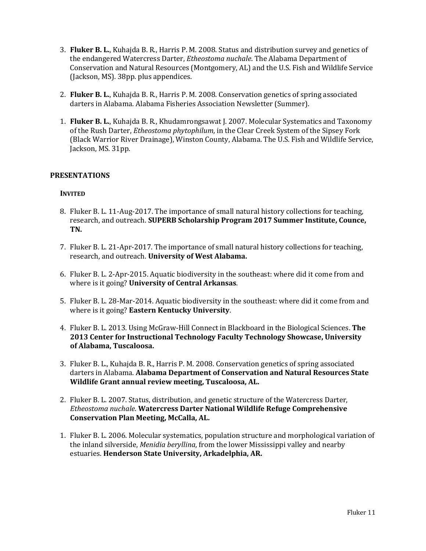- 3. **Fluker B. L.**, Kuhajda B. R., Harris P. M. 2008. Status and distribution survey and genetics of the endangered Watercress Darter, *Etheostoma nuchale*. The Alabama Department of Conservation and Natural Resources (Montgomery, AL) and the U.S. Fish and Wildlife Service (Jackson, MS). 38pp. plus appendices.
- 2. **Fluker B. L.**, Kuhajda B. R., Harris P. M. 2008. Conservation genetics of spring associated darters in Alabama. Alabama Fisheries Association Newsletter (Summer).
- 1. **Fluker B. L.**, Kuhajda B. R., Khudamrongsawat J. 2007. Molecular Systematics and Taxonomy of the Rush Darter, *Etheostoma phytophilum*, in the Clear Creek System of the Sipsey Fork (Black Warrior River Drainage), Winston County, Alabama. The U.S. Fish and Wildlife Service, Jackson, MS. 31pp.

#### **PRESENTATIONS**

#### **INVITED**

- 8. Fluker B. L. 11-Aug-2017. The importance of small natural history collections for teaching, research, and outreach. **SUPERB Scholarship Program 2017 Summer Institute, Counce, TN.**
- 7. Fluker B. L. 21-Apr-2017. The importance of small natural history collections for teaching, research, and outreach. **University of West Alabama.**
- 6. Fluker B. L. 2-Apr-2015. Aquatic biodiversity in the southeast: where did it come from and where is it going? **University of Central Arkansas**.
- 5. Fluker B. L. 28-Mar-2014. Aquatic biodiversity in the southeast: where did it come from and where is it going? **Eastern Kentucky University**.
- 4. Fluker B. L. 2013. Using McGraw-Hill Connect in Blackboard in the Biological Sciences. **The 2013 Center for Instructional Technology Faculty Technology Showcase, University of Alabama, Tuscaloosa.**
- 3. Fluker B. L., Kuhajda B. R., Harris P. M. 2008. Conservation genetics of spring associated darters in Alabama. **Alabama Department of Conservation and Natural Resources State Wildlife Grant annual review meeting, Tuscaloosa, AL.**
- 2. Fluker B. L. 2007. Status, distribution, and genetic structure of the Watercress Darter, *Etheostoma nuchale*. **Watercress Darter National Wildlife Refuge Comprehensive Conservation Plan Meeting, McCalla, AL.**
- 1. Fluker B. L. 2006. Molecular systematics, population structure and morphological variation of the inland silverside, *Menidia beryllina*, from the lower Mississippi valley and nearby estuaries. **Henderson State University, Arkadelphia, AR.**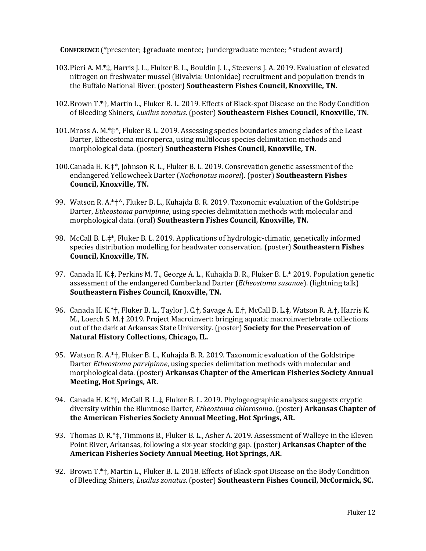**CONFERENCE** (\*presenter; ‡graduate mentee; †undergraduate mentee; ^student award)

- 103.Pieri A. M.\*‡, Harris J. L., Fluker B. L., Bouldin J. L., Steevens J. A. 2019. Evaluation of elevated nitrogen on freshwater mussel (Bivalvia: Unionidae) recruitment and population trends in the Buffalo National River. (poster) **Southeastern Fishes Council, Knoxville, TN.**
- 102.Brown T.\*†, Martin L., Fluker B. L. 2019. Effects of Black-spot Disease on the Body Condition of Bleeding Shiners, *Luxilus zonatus*. (poster) **Southeastern Fishes Council, Knoxville, TN.**
- 101.Mross A. M.\*‡^, Fluker B. L. 2019. Assessing species boundaries among clades of the Least Darter, Etheostoma microperca, using multilocus species delimitation methods and morphological data. (poster) **Southeastern Fishes Council, Knoxville, TN.**
- 100.Canada H. K.‡\*, Johnson R. L., Fluker B. L. 2019. Consrevation genetic assessment of the endangered Yellowcheek Darter (*Nothonotus moorei*). (poster) **Southeastern Fishes Council, Knoxville, TN.**
- 99. Watson R. A.\*<sup>+</sup>^, Fluker B. L., Kuhajda B. R. 2019. Taxonomic evaluation of the Goldstripe Darter, *Etheostoma parvipinne*, using species delimitation methods with molecular and morphological data. (oral) **Southeastern Fishes Council, Knoxville, TN.**
- 98. McCall B. L.‡\*, Fluker B. L. 2019. Applications of hydrologic-climatic, genetically informed species distribution modelling for headwater conservation. (poster) **Southeastern Fishes Council, Knoxville, TN.**
- 97. Canada H. K.‡, Perkins M. T., George A. L., Kuhajda B. R., Fluker B. L.\* 2019. Population genetic assessment of the endangered Cumberland Darter (*Etheostoma susanae*). (lightning talk) **Southeastern Fishes Council, Knoxville, TN.**
- 96. Canada H. K.\*†, Fluker B. L., Taylor J. C.†, Savage A. E.†, McCall B. L.‡, Watson R. A.†, Harris K. M., Loerch S. M.† 2019. Project Macroinvert: bringing aquatic macroinvertebrate collections out of the dark at Arkansas State University. (poster) **Society for the Preservation of Natural History Collections, Chicago, IL.**
- 95. Watson R. A.\*†, Fluker B. L., Kuhajda B. R. 2019. Taxonomic evaluation of the Goldstripe Darter *Etheostoma parvipinne*, using species delimitation methods with molecular and morphological data. (poster) **Arkansas Chapter of the American Fisheries Society Annual Meeting, Hot Springs, AR.**
- 94. Canada H. K.\*†, McCall B. L.‡, Fluker B. L. 2019. Phylogeographic analyses suggests cryptic diversity within the Bluntnose Darter, *Etheostoma chlorosoma*. (poster) **Arkansas Chapter of the American Fisheries Society Annual Meeting, Hot Springs, AR.**
- 93. Thomas D. R.\*‡, Timmons B., Fluker B. L., Asher A. 2019. Assessment of Walleye in the Eleven Point River, Arkansas, following a six-year stocking gap. (poster) **Arkansas Chapter of the American Fisheries Society Annual Meeting, Hot Springs, AR.**
- 92. Brown T.\*†, Martin L., Fluker B. L. 2018. Effects of Black-spot Disease on the Body Condition of Bleeding Shiners, *Luxilus zonatus*. (poster) **Southeastern Fishes Council, McCormick, SC.**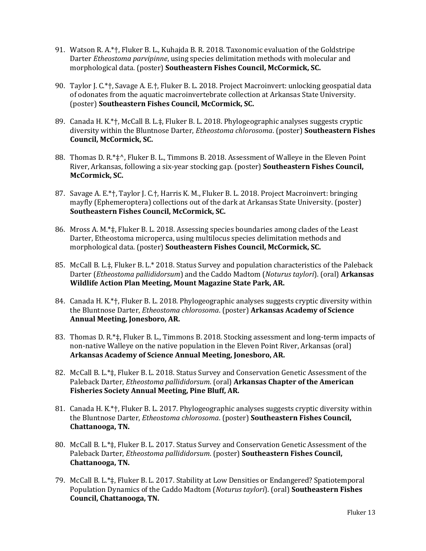- 91. Watson R. A.\*†, Fluker B. L., Kuhajda B. R. 2018. Taxonomic evaluation of the Goldstripe Darter *Etheostoma parvipinne*, using species delimitation methods with molecular and morphological data. (poster) **Southeastern Fishes Council, McCormick, SC.**
- 90. Taylor J. C.\*†, Savage A. E.†, Fluker B. L. 2018. Project Macroinvert: unlocking geospatial data of odonates from the aquatic macroinvertebrate collection at Arkansas State University. (poster) **Southeastern Fishes Council, McCormick, SC.**
- 89. Canada H. K.\*†, McCall B. L.‡, Fluker B. L. 2018. Phylogeographic analyses suggests cryptic diversity within the Bluntnose Darter, *Etheostoma chlorosoma*. (poster) **Southeastern Fishes Council, McCormick, SC.**
- 88. Thomas D. R.\*‡^, Fluker B. L., Timmons B. 2018. Assessment of Walleye in the Eleven Point River, Arkansas, following a six-year stocking gap. (poster) **Southeastern Fishes Council, McCormick, SC.**
- 87. Savage A. E.\*†, Taylor J. C.†, Harris K. M., Fluker B. L. 2018. Project Macroinvert: bringing mayfly (Ephemeroptera) collections out of the dark at Arkansas State University. (poster) **Southeastern Fishes Council, McCormick, SC.**
- 86. Mross A. M.\*‡, Fluker B. L. 2018. Assessing species boundaries among clades of the Least Darter, Etheostoma microperca, using multilocus species delimitation methods and morphological data. (poster) **Southeastern Fishes Council, McCormick, SC.**
- 85. McCall B. L.‡, Fluker B. L.\* 2018. Status Survey and population characteristics of the Paleback Darter (*Etheostoma pallididorsum*) and the Caddo Madtom (*Noturus taylori*). (oral) **Arkansas Wildlife Action Plan Meeting, Mount Magazine State Park, AR.**
- 84. Canada H. K.\*†, Fluker B. L. 2018. Phylogeographic analyses suggests cryptic diversity within the Bluntnose Darter, *Etheostoma chlorosoma*. (poster) **Arkansas Academy of Science Annual Meeting, Jonesboro, AR.**
- 83. Thomas D. R.\*‡, Fluker B. L., Timmons B. 2018. Stocking assessment and long-term impacts of non-native Walleye on the native population in the Eleven Point River, Arkansas (oral) **Arkansas Academy of Science Annual Meeting, Jonesboro, AR.**
- 82. McCall B. L.\*‡, Fluker B. L. 2018. Status Survey and Conservation Genetic Assessment of the Paleback Darter, *Etheostoma pallididorsum*. (oral) **Arkansas Chapter of the American Fisheries Society Annual Meeting, Pine Bluff, AR.**
- 81. Canada H. K.\*†, Fluker B. L. 2017. Phylogeographic analyses suggests cryptic diversity within the Bluntnose Darter, *Etheostoma chlorosoma*. (poster) **Southeastern Fishes Council, Chattanooga, TN.**
- 80. McCall B. L.\*‡, Fluker B. L. 2017. Status Survey and Conservation Genetic Assessment of the Paleback Darter, *Etheostoma pallididorsum*. (poster) **Southeastern Fishes Council, Chattanooga, TN.**
- 79. McCall B. L.\*‡, Fluker B. L. 2017. Stability at Low Densities or Endangered? Spatiotemporal Population Dynamics of the Caddo Madtom (*Noturus taylori*). (oral) **Southeastern Fishes Council, Chattanooga, TN.**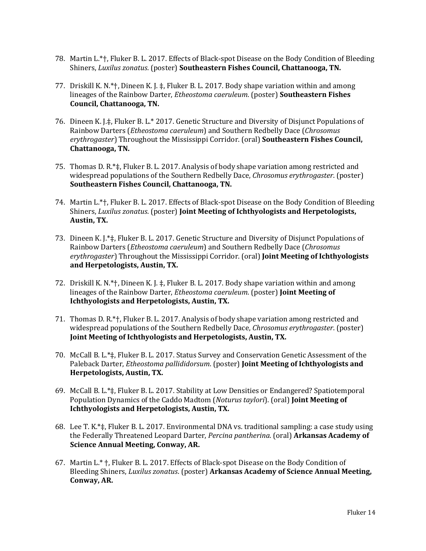- 78. Martin L.\*†, Fluker B. L. 2017. Effects of Black-spot Disease on the Body Condition of Bleeding Shiners, *Luxilus zonatus*. (poster) **Southeastern Fishes Council, Chattanooga, TN.**
- 77. Driskill K. N.\*†, Dineen K. J. ‡, Fluker B. L. 2017. Body shape variation within and among lineages of the Rainbow Darter, *Etheostoma caeruleum*. (poster) **Southeastern Fishes Council, Chattanooga, TN.**
- 76. Dineen K. J.‡, Fluker B. L.\* 2017. Genetic Structure and Diversity of Disjunct Populations of Rainbow Darters (*Etheostoma caeruleum*) and Southern Redbelly Dace (*Chrosomus erythrogaster*) Throughout the Mississippi Corridor. (oral) **Southeastern Fishes Council, Chattanooga, TN.**
- 75. Thomas D. R.\*‡, Fluker B. L. 2017. Analysis of body shape variation among restricted and widespread populations of the Southern Redbelly Dace, *Chrosomus erythrogaster*. (poster) **Southeastern Fishes Council, Chattanooga, TN.**
- 74. Martin L.\*†, Fluker B. L. 2017. Effects of Black-spot Disease on the Body Condition of Bleeding Shiners, *Luxilus zonatus*. (poster) **Joint Meeting of Ichthyologists and Herpetologists, Austin, TX.**
- 73. Dineen K. J.\*‡, Fluker B. L. 2017. Genetic Structure and Diversity of Disjunct Populations of Rainbow Darters (*Etheostoma caeruleum*) and Southern Redbelly Dace (*Chrosomus erythrogaster*) Throughout the Mississippi Corridor. (oral) **Joint Meeting of Ichthyologists and Herpetologists, Austin, TX.**
- 72. Driskill K. N.\*†, Dineen K. J. ‡, Fluker B. L. 2017. Body shape variation within and among lineages of the Rainbow Darter, *Etheostoma caeruleum*. (poster) **Joint Meeting of Ichthyologists and Herpetologists, Austin, TX.**
- 71. Thomas D. R.\*†, Fluker B. L. 2017. Analysis of body shape variation among restricted and widespread populations of the Southern Redbelly Dace, *Chrosomus erythrogaster*. (poster) **Joint Meeting of Ichthyologists and Herpetologists, Austin, TX.**
- 70. McCall B. L.\*‡, Fluker B. L. 2017. Status Survey and Conservation Genetic Assessment of the Paleback Darter, *Etheostoma pallididorsum*. (poster) **Joint Meeting of Ichthyologists and Herpetologists, Austin, TX.**
- 69. McCall B. L.\*‡, Fluker B. L. 2017. Stability at Low Densities or Endangered? Spatiotemporal Population Dynamics of the Caddo Madtom (*Noturus taylori*). (oral) **Joint Meeting of Ichthyologists and Herpetologists, Austin, TX.**
- 68. Lee T. K.\*‡, Fluker B. L. 2017. Environmental DNA vs. traditional sampling: a case study using the Federally Threatened Leopard Darter, *Percina pantherina*. (oral) **Arkansas Academy of Science Annual Meeting, Conway, AR.**
- 67. Martin L.\* †, Fluker B. L. 2017. Effects of Black-spot Disease on the Body Condition of Bleeding Shiners, *Luxilus zonatus*. (poster) **Arkansas Academy of Science Annual Meeting, Conway, AR.**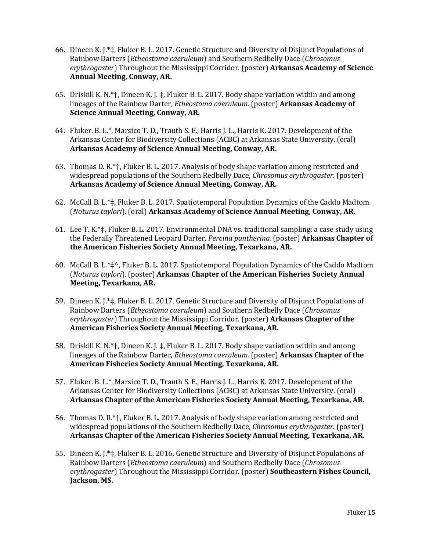- 66. Dineen K. J.\*‡, Fluker B. L. 2017. Genetic Structure and Diversity of Disjunct Populations of Rainbow Darters (*Etheostoma caeruleum*) and Southern Redbelly Dace (*Chrosomus erythrogaster*) Throughout the Mississippi Corridor. (poster) **Arkansas Academy of Science Annual Meeting, Conway, AR.**
- 65. Driskill K. N.\*†, Dineen K. J. ‡, Fluker B. L. 2017. Body shape variation within and among lineages of the Rainbow Darter, *Etheostoma caeruleum*. (poster) **Arkansas Academy of Science Annual Meeting, Conway, AR.**
- 64. Fluker. B. L.\*, Marsico T. D., Trauth S. E., Harris J. L., Harris K. 2017. Development of the Arkansas Center for Biodiversity Collections (ACBC) at Arkansas State University. (oral) **Arkansas Academy of Science Annual Meeting, Conway, AR.**
- 63. Thomas D. R.\*†, Fluker B. L. 2017. Analysis of body shape variation among restricted and widespread populations of the Southern Redbelly Dace, *Chrosomus erythrogaster*. (poster) **Arkansas Academy of Science Annual Meeting, Conway, AR.**
- 62. McCall B. L.\*‡, Fluker B. L. 2017. Spatiotemporal Population Dynamics of the Caddo Madtom (*Noturus taylori*). (oral) **Arkansas Academy of Science Annual Meeting, Conway, AR.**
- 61. Lee T. K.\*‡, Fluker B. L. 2017. Environmental DNA vs. traditional sampling: a case study using the Federally Threatened Leopard Darter, *Percina pantherina*. (poster) **Arkansas Chapter of the American Fisheries Society Annual Meeting, Texarkana, AR.**
- 60. McCall B. L.\*‡^, Fluker B. L. 2017. Spatiotemporal Population Dynamics of the Caddo Madtom (*Noturus taylori*). (poster) **Arkansas Chapter of the American Fisheries Society Annual Meeting, Texarkana, AR.**
- 59. Dineen K. J.\*‡, Fluker B. L. 2017. Genetic Structure and Diversity of Disjunct Populations of Rainbow Darters (*Etheostoma caeruleum*) and Southern Redbelly Dace (*Chrosomus erythrogaster*) Throughout the Mississippi Corridor. (poster) **Arkansas Chapter of the American Fisheries Society Annual Meeting, Texarkana, AR.**
- 58. Driskill K. N.\*†, Dineen K. J. ‡, Fluker B. L. 2017. Body shape variation within and among lineages of the Rainbow Darter, *Etheostoma caeruleum*. (poster) **Arkansas Chapter of the American Fisheries Society Annual Meeting, Texarkana, AR.**
- 57. Fluker. B. L.\*, Marsico T. D., Trauth S. E., Harris J. L., Harris K. 2017. Development of the Arkansas Center for Biodiversity Collections (ACBC) at Arkansas State University. (oral) **Arkansas Chapter of the American Fisheries Society Annual Meeting, Texarkana, AR.**
- 56. Thomas D. R.\*†, Fluker B. L. 2017. Analysis of body shape variation among restricted and widespread populations of the Southern Redbelly Dace, *Chrosomus erythrogaster*. (poster) **Arkansas Chapter of the American Fisheries Society Annual Meeting, Texarkana, AR.**
- 55. Dineen K. J.\*‡, Fluker B. L. 2016. Genetic Structure and Diversity of Disjunct Populations of Rainbow Darters (*Etheostoma caeruleum*) and Southern Redbelly Dace (*Chrosomus erythrogaster*) Throughout the Mississippi Corridor. (poster) **Southeastern Fishes Council, Jackson, MS.**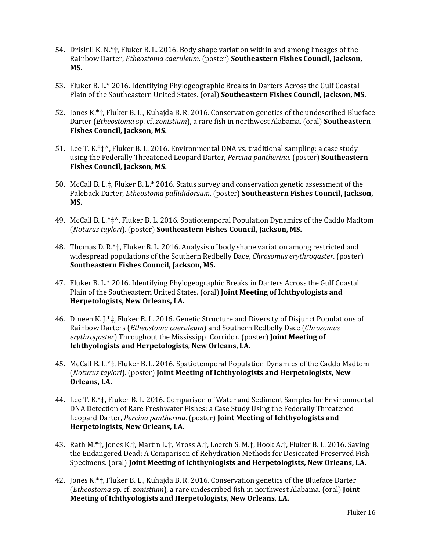- 54. Driskill K. N.\*†, Fluker B. L. 2016. Body shape variation within and among lineages of the Rainbow Darter, *Etheostoma caeruleum*. (poster) **Southeastern Fishes Council, Jackson, MS.**
- 53. Fluker B. L.\* 2016. Identifying Phylogeographic Breaks in Darters Across the Gulf Coastal Plain of the Southeastern United States. (oral) **Southeastern Fishes Council, Jackson, MS.**
- 52. Jones K.\*†, Fluker B. L., Kuhajda B. R. 2016. Conservation genetics of the undescribed Blueface Darter (*Etheostoma* sp. cf. *zonistium*), a rare fish in northwest Alabama. (oral) **Southeastern Fishes Council, Jackson, MS.**
- 51. Lee T. K.\*‡^, Fluker B. L. 2016. Environmental DNA vs. traditional sampling: a case study using the Federally Threatened Leopard Darter, *Percina pantherina*. (poster) **Southeastern Fishes Council, Jackson, MS.**
- 50. McCall B. L.‡, Fluker B. L.\* 2016. Status survey and conservation genetic assessment of the Paleback Darter, *Etheostoma pallididorsum*. (poster) **Southeastern Fishes Council, Jackson, MS.**
- 49. McCall B. L.\*‡^, Fluker B. L. 2016. Spatiotemporal Population Dynamics of the Caddo Madtom (*Noturus taylori*). (poster) **Southeastern Fishes Council, Jackson, MS.**
- 48. Thomas D. R.\*†, Fluker B. L. 2016. Analysis of body shape variation among restricted and widespread populations of the Southern Redbelly Dace, *Chrosomus erythrogaster*. (poster) **Southeastern Fishes Council, Jackson, MS.**
- 47. Fluker B. L.\* 2016. Identifying Phylogeographic Breaks in Darters Across the Gulf Coastal Plain of the Southeastern United States. (oral) **Joint Meeting of Ichthyologists and Herpetologists, New Orleans, LA.**
- 46. Dineen K. J.\*‡, Fluker B. L. 2016. Genetic Structure and Diversity of Disjunct Populations of Rainbow Darters (*Etheostoma caeruleum*) and Southern Redbelly Dace (*Chrosomus erythrogaster*) Throughout the Mississippi Corridor. (poster) **Joint Meeting of Ichthyologists and Herpetologists, New Orleans, LA.**
- 45. McCall B. L.\*‡, Fluker B. L. 2016. Spatiotemporal Population Dynamics of the Caddo Madtom (*Noturus taylori*). (poster) **Joint Meeting of Ichthyologists and Herpetologists, New Orleans, LA.**
- 44. Lee T. K.\*‡, Fluker B. L. 2016. Comparison of Water and Sediment Samples for Environmental DNA Detection of Rare Freshwater Fishes: a Case Study Using the Federally Threatened Leopard Darter, *Percina pantherina*. (poster) **Joint Meeting of Ichthyologists and Herpetologists, New Orleans, LA.**
- 43. Rath M.\*†, Jones K.†, Martin L.†, Mross A.†, Loerch S. M.†, Hook A.†, Fluker B. L. 2016. Saving the Endangered Dead: A Comparison of Rehydration Methods for Desiccated Preserved Fish Specimens. (oral) **Joint Meeting of Ichthyologists and Herpetologists, New Orleans, LA.**
- 42. Jones K.\*†, Fluker B. L., Kuhajda B. R. 2016. Conservation genetics of the Blueface Darter (*Etheostoma* sp. cf. *zonistium*), a rare undescribed fish in northwest Alabama. (oral) **Joint Meeting of Ichthyologists and Herpetologists, New Orleans, LA.**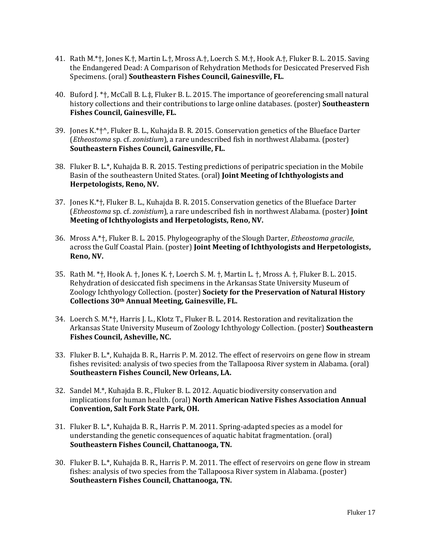- 41. Rath M.\*†, Jones K.†, Martin L.†, Mross A.†, Loerch S. M.†, Hook A.†, Fluker B. L. 2015. Saving the Endangered Dead: A Comparison of Rehydration Methods for Desiccated Preserved Fish Specimens. (oral) **Southeastern Fishes Council, Gainesville, FL.**
- 40. Buford J. \*†, McCall B. L.‡, Fluker B. L. 2015. The importance of georeferencing small natural history collections and their contributions to large online databases. (poster) **Southeastern Fishes Council, Gainesville, FL.**
- 39. Jones K.\*†^, Fluker B. L., Kuhajda B. R. 2015. Conservation genetics of the Blueface Darter (*Etheostoma* sp. cf. *zonistium*), a rare undescribed fish in northwest Alabama. (poster) **Southeastern Fishes Council, Gainesville, FL.**
- 38. Fluker B. L.\*, Kuhajda B. R. 2015. Testing predictions of peripatric speciation in the Mobile Basin of the southeastern United States. (oral) **Joint Meeting of Ichthyologists and Herpetologists, Reno, NV.**
- 37. Jones K.\*†, Fluker B. L., Kuhajda B. R. 2015. Conservation genetics of the Blueface Darter (*Etheostoma* sp. cf. *zonistium*), a rare undescribed fish in northwest Alabama. (poster) **Joint Meeting of Ichthyologists and Herpetologists, Reno, NV.**
- 36. Mross A.\*†, Fluker B. L. 2015. Phylogeography of the Slough Darter, *Etheostoma gracile*, across the Gulf Coastal Plain. (poster) **Joint Meeting of Ichthyologists and Herpetologists, Reno, NV.**
- 35. Rath M. \*†, Hook A. †, Jones K. †, Loerch S. M. †, Martin L. †, Mross A. †, Fluker B. L. 2015. Rehydration of desiccated fish specimens in the Arkansas State University Museum of Zoology Ichthyology Collection. (poster) **Society for the Preservation of Natural History Collections 30th Annual Meeting, Gainesville, FL.**
- 34. Loerch S. M.\*†, Harris J. L., Klotz T., Fluker B. L. 2014. Restoration and revitalization the Arkansas State University Museum of Zoology Ichthyology Collection. (poster) **Southeastern Fishes Council, Asheville, NC.**
- 33. Fluker B. L.\*, Kuhajda B. R., Harris P. M. 2012. The effect of reservoirs on gene flow in stream fishes revisited: analysis of two species from the Tallapoosa River system in Alabama. (oral) **Southeastern Fishes Council, New Orleans, LA.**
- 32. Sandel M.\*, Kuhajda B. R., Fluker B. L. 2012. Aquatic biodiversity conservation and implications for human health. (oral) **North American Native Fishes Association Annual Convention, Salt Fork State Park, OH.**
- 31. Fluker B. L.\*, Kuhajda B. R., Harris P. M. 2011. Spring-adapted species as a model for understanding the genetic consequences of aquatic habitat fragmentation. (oral) **Southeastern Fishes Council, Chattanooga, TN.**
- 30. Fluker B. L.\*, Kuhajda B. R., Harris P. M. 2011. The effect of reservoirs on gene flow in stream fishes: analysis of two species from the Tallapoosa River system in Alabama. (poster) **Southeastern Fishes Council, Chattanooga, TN.**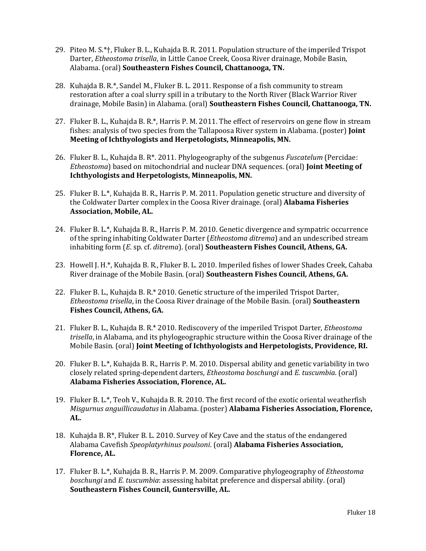- 29. Piteo M. S.\*†, Fluker B. L., Kuhajda B. R. 2011. Population structure of the imperiled Trispot Darter, *Etheostoma trisella*, in Little Canoe Creek, Coosa River drainage, Mobile Basin, Alabama. (oral) **Southeastern Fishes Council, Chattanooga, TN.**
- 28. Kuhajda B. R.\*, Sandel M., Fluker B. L. 2011. Response of a fish community to stream restoration after a coal slurry spill in a tributary to the North River (Black Warrior River drainage, Mobile Basin) in Alabama. (oral) **Southeastern Fishes Council, Chattanooga, TN.**
- 27. Fluker B. L., Kuhajda B. R.\*, Harris P. M. 2011. The effect of reservoirs on gene flow in stream fishes: analysis of two species from the Tallapoosa River system in Alabama. (poster) **Joint Meeting of Ichthyologists and Herpetologists, Minneapolis, MN.**
- 26. Fluker B. L., Kuhajda B. R\*. 2011. Phylogeography of the subgenus *Fuscatelum* (Percidae: *Etheostoma*) based on mitochondrial and nuclear DNA sequences. (oral) **Joint Meeting of Ichthyologists and Herpetologists, Minneapolis, MN.**
- 25. Fluker B. L.\*, Kuhajda B. R., Harris P. M. 2011. Population genetic structure and diversity of the Coldwater Darter complex in the Coosa River drainage. (oral) **Alabama Fisheries Association, Mobile, AL.**
- 24. Fluker B. L.\*, Kuhajda B. R., Harris P. M. 2010. Genetic divergence and sympatric occurrence of the spring inhabiting Coldwater Darter (*Etheostoma ditrema*) and an undescribed stream inhabiting form (*E*. sp. cf. *ditrema*). (oral) **Southeastern Fishes Council, Athens, GA.**
- 23. Howell J. H.\*, Kuhajda B. R., Fluker B. L. 2010. Imperiled fishes of lower Shades Creek, Cahaba River drainage of the Mobile Basin. (oral) **Southeastern Fishes Council, Athens, GA.**
- 22. Fluker B. L., Kuhajda B. R.\* 2010. Genetic structure of the imperiled Trispot Darter, *Etheostoma trisella*, in the Coosa River drainage of the Mobile Basin. (oral) **Southeastern Fishes Council, Athens, GA.**
- 21. Fluker B. L., Kuhajda B. R.\* 2010. Rediscovery of the imperiled Trispot Darter, *Etheostoma trisella*, in Alabama, and its phylogeographic structure within the Coosa River drainage of the Mobile Basin. (oral) **Joint Meeting of Ichthyologists and Herpetologists, Providence, RI.**
- 20. Fluker B. L.\*, Kuhajda B. R., Harris P. M. 2010. Dispersal ability and genetic variability in two closely related spring-dependent darters, *Etheostoma boschungi* and *E. tuscumbia*. (oral) **Alabama Fisheries Association, Florence, AL.**
- 19. Fluker B. L.\*, Teoh V., Kuhajda B. R. 2010. The first record of the exotic oriental weatherfish *Misgurnus anguillicaudatus* in Alabama. (poster) **Alabama Fisheries Association, Florence, AL.**
- 18. Kuhajda B. R\*, Fluker B. L. 2010. Survey of Key Cave and the status of the endangered Alabama Cavefish *Speoplatyrhinus poulsoni*. (oral) **Alabama Fisheries Association, Florence, AL.**
- 17. Fluker B. L.\*, Kuhajda B. R., Harris P. M. 2009. Comparative phylogeography of *Etheostoma boschungi* and *E. tuscumbia*: assessing habitat preference and dispersal ability. (oral) **Southeastern Fishes Council, Guntersville, AL.**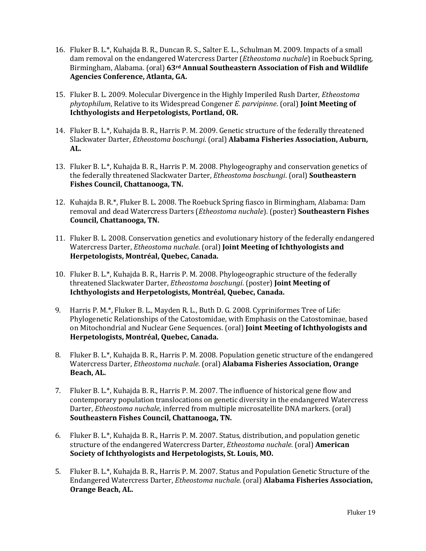- 16. Fluker B. L.\*, Kuhajda B. R., Duncan R. S., Salter E. L., Schulman M. 2009. Impacts of a small dam removal on the endangered Watercress Darter (*Etheostoma nuchale*) in Roebuck Spring, Birmingham, Alabama. (oral) **63rd Annual Southeastern Association of Fish and Wildlife Agencies Conference, Atlanta, GA.**
- 15. Fluker B. L. 2009. Molecular Divergence in the Highly Imperiled Rush Darter, *Etheostoma phytophilum*, Relative to its Widespread Congener *E. parvipinne*. (oral) **Joint Meeting of Ichthyologists and Herpetologists, Portland, OR.**
- 14. Fluker B. L.\*, Kuhajda B. R., Harris P. M. 2009. Genetic structure of the federally threatened Slackwater Darter, *Etheostoma boschungi*. (oral) **Alabama Fisheries Association, Auburn, AL.**
- 13. Fluker B. L.\*, Kuhajda B. R., Harris P. M. 2008. Phylogeography and conservation genetics of the federally threatened Slackwater Darter, *Etheostoma boschungi*. (oral) **Southeastern Fishes Council, Chattanooga, TN.**
- 12. Kuhajda B. R.\*, Fluker B. L. 2008. The Roebuck Spring fiasco in Birmingham, Alabama: Dam removal and dead Watercress Darters (*Etheostoma nuchale*). (poster) **Southeastern Fishes Council, Chattanooga, TN.**
- 11. Fluker B. L. 2008. Conservation genetics and evolutionary history of the federally endangered Watercress Darter, *Etheostoma nuchale*. (oral) **Joint Meeting of Ichthyologists and Herpetologists, Montréal, Quebec, Canada.**
- 10. Fluker B. L.\*, Kuhajda B. R., Harris P. M. 2008. Phylogeographic structure of the federally threatened Slackwater Darter, *Etheostoma boschungi*. (poster) **Joint Meeting of Ichthyologists and Herpetologists, Montréal, Quebec, Canada.**
- 9. Harris P. M.\*, Fluker B. L., Mayden R. L., Buth D. G. 2008. Cypriniformes Tree of Life: Phylogenetic Relationships of the Catostomidae, with Emphasis on the Catostominae, based on Mitochondrial and Nuclear Gene Sequences. (oral) **Joint Meeting of Ichthyologists and Herpetologists, Montréal, Quebec, Canada.**
- 8. Fluker B. L.\*, Kuhajda B. R., Harris P. M. 2008. Population genetic structure of the endangered Watercress Darter, *Etheostoma nuchale*. (oral) **Alabama Fisheries Association, Orange Beach, AL.**
- 7. Fluker B. L.\*, Kuhajda B. R., Harris P. M. 2007. The influence of historical gene flow and contemporary population translocations on genetic diversity in the endangered Watercress Darter, *Etheostoma nuchale*, inferred from multiple microsatellite DNA markers. (oral) **Southeastern Fishes Council, Chattanooga, TN.**
- 6. Fluker B. L.\*, Kuhajda B. R., Harris P. M. 2007. Status, distribution, and population genetic structure of the endangered Watercress Darter, *Etheostoma nuchale*. (oral) **American Society of Ichthyologists and Herpetologists, St. Louis, MO.**
- 5. Fluker B. L.\*, Kuhajda B. R., Harris P. M. 2007. Status and Population Genetic Structure of the Endangered Watercress Darter, *Etheostoma nuchale*. (oral) **Alabama Fisheries Association, Orange Beach, AL.**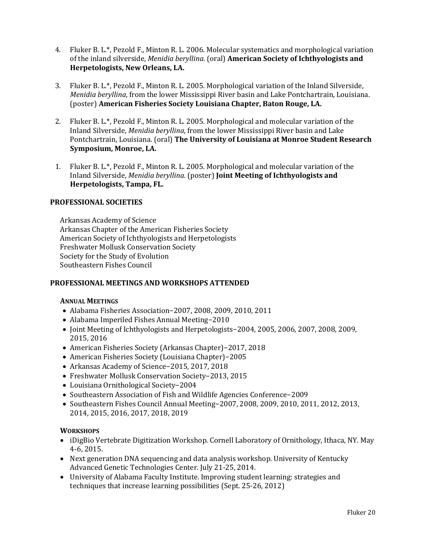- 4. Fluker B. L.\*, Pezold F., Minton R. L. 2006. Molecular systematics and morphological variation of the inland silverside, *Menidia beryllina*. (oral) **American Society of Ichthyologists and Herpetologists, New Orleans, LA.**
- 3. Fluker B. L.\*, Pezold F., Minton R. L. 2005. Morphological variation of the Inland Silverside, *Menidia beryllina*, from the lower Mississippi River basin and Lake Pontchartrain, Louisiana. (poster) **American Fisheries Society Louisiana Chapter, Baton Rouge, LA.**
- 2. Fluker B. L.\*, Pezold F., Minton R. L. 2005. Morphological and molecular variation of the Inland Silverside, *Menidia beryllina*, from the lower Mississippi River basin and Lake Pontchartrain, Louisiana. (oral) **The University of Louisiana at Monroe Student Research Symposium, Monroe, LA.**
- 1. Fluker B. L.\*, Pezold F., Minton R. L. 2005. Morphological and molecular variation of the Inland Silverside, *Menidia beryllina*. (poster) **Joint Meeting of Ichthyologists and Herpetologists, Tampa, FL.**

# **PROFESSIONAL SOCIETIES**

Arkansas Academy of Science Arkansas Chapter of the American Fisheries Society American Society of Ichthyologists and Herpetologists Freshwater Mollusk Conservation Society Society for the Study of Evolution Southeastern Fishes Council

#### **PROFESSIONAL MEETINGS AND WORKSHOPS ATTENDED**

#### **ANNUAL MEETINGS**

- Alabama Fisheries Association−2007, 2008, 2009, 2010, 2011
- Alabama Imperiled Fishes Annual Meeting−2010
- Joint Meeting of Ichthyologists and Herpetologists−2004, 2005, 2006, 2007, 2008, 2009, 2015, 2016
- American Fisheries Society (Arkansas Chapter)−2017, 2018
- American Fisheries Society (Louisiana Chapter)−2005
- Arkansas Academy of Science−2015, 2017, 2018
- Freshwater Mollusk Conservation Society−2013, 2015
- Louisiana Ornithological Society−2004
- Southeastern Association of Fish and Wildlife Agencies Conference−2009
- Southeastern Fishes Council Annual Meeting−2007, 2008, 2009, 2010, 2011, 2012, 2013, 2014, 2015, 2016, 2017, 2018, 2019

#### **WORKSHOPS**

- iDigBio Vertebrate Digitization Workshop. Cornell Laboratory of Ornithology, Ithaca, NY. May 4-6, 2015.
- Next generation DNA sequencing and data analysis workshop. University of Kentucky Advanced Genetic Technologies Center. July 21-25, 2014.
- University of Alabama Faculty Institute. Improving student learning: strategies and techniques that increase learning possibilities (Sept. 25-26, 2012)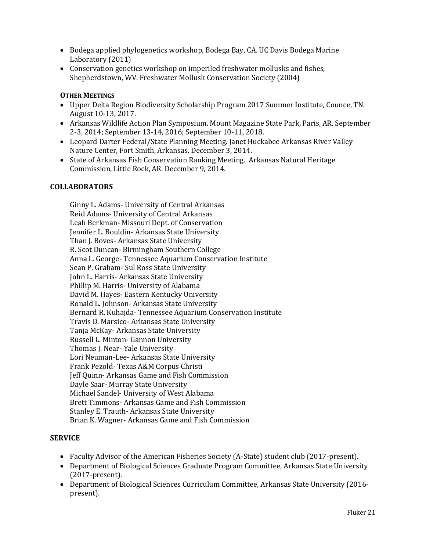- Bodega applied phylogenetics workshop, Bodega Bay, CA. UC Davis Bodega Marine Laboratory (2011)
- Conservation genetics workshop on imperiled freshwater mollusks and fishes, Shepherdstown, WV. Freshwater Mollusk Conservation Society (2004)

# **OTHER MEETINGS**

- Upper Delta Region Biodiversity Scholarship Program 2017 Summer Institute, Counce, TN. August 10-13, 2017.
- Arkansas Wildlife Action Plan Symposium. Mount Magazine State Park, Paris, AR. September 2-3, 2014; September 13-14, 2016; September 10-11, 2018.
- Leopard Darter Federal/State Planning Meeting. Janet Huckabee Arkansas River Valley Nature Center, Fort Smith, Arkansas. December 3, 2014.
- State of Arkansas Fish Conservation Ranking Meeting. Arkansas Natural Heritage Commission, Little Rock, AR. December 9, 2014.

#### **COLLABORATORS**

Ginny L. Adams- University of Central Arkansas Reid Adams- University of Central Arkansas Leah Berkman- Missouri Dept. of Conservation Jennifer L. Bouldin- Arkansas State University Than J. Boves- Arkansas State University R. Scot Duncan- Birmingham Southern College Anna L. George- Tennessee Aquarium Conservation Institute Sean P. Graham- Sul Ross State University John L. Harris- Arkansas State University Phillip M. Harris- University of Alabama David M. Hayes- Eastern Kentucky University Ronald L. Johnson- Arkansas State University Bernard R. Kuhajda- Tennessee Aquarium Conservation Institute Travis D. Marsico- Arkansas State University Tanja McKay- Arkansas State University Russell L. Minton- Gannon University Thomas J. Near- Yale University Lori Neuman-Lee- Arkansas State University Frank Pezold- Texas A&M Corpus Christi Jeff Quinn- Arkansas Game and Fish Commission Dayle Saar- Murray State University Michael Sandel- University of West Alabama Brett Timmons- Arkansas Game and Fish Commission Stanley E. Trauth- Arkansas State University Brian K. Wagner- Arkansas Game and Fish Commission

# **SERVICE**

- Faculty Advisor of the American Fisheries Society (A-State) student club (2017-present).
- Department of Biological Sciences Graduate Program Committee, Arkansas State University (2017-present).
- Department of Biological Sciences Curriculum Committee, Arkansas State University (2016 present).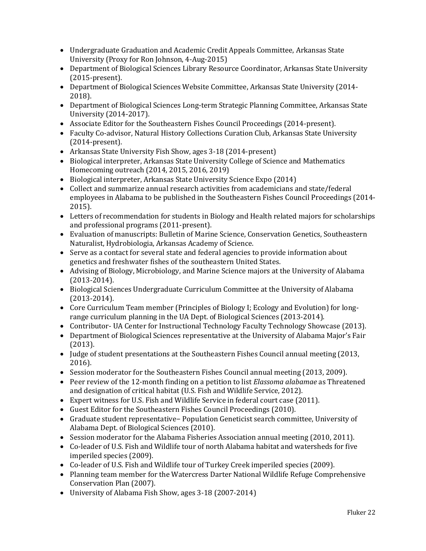- Undergraduate Graduation and Academic Credit Appeals Committee, Arkansas State University (Proxy for Ron Johnson, 4-Aug-2015)
- Department of Biological Sciences Library Resource Coordinator, Arkansas State University (2015-present).
- Department of Biological Sciences Website Committee, Arkansas State University (2014- 2018).
- Department of Biological Sciences Long-term Strategic Planning Committee, Arkansas State University (2014-2017).
- Associate Editor for the Southeastern Fishes Council Proceedings (2014-present).
- Faculty Co-advisor, Natural History Collections Curation Club, Arkansas State University (2014-present).
- Arkansas State University Fish Show, ages 3-18 (2014-present)
- Biological interpreter, Arkansas State University College of Science and Mathematics Homecoming outreach (2014, 2015, 2016, 2019)
- Biological interpreter, Arkansas State University Science Expo (2014)
- Collect and summarize annual research activities from academicians and state/federal employees in Alabama to be published in the Southeastern Fishes Council Proceedings (2014- 2015).
- Letters of recommendation for students in Biology and Health related majors for scholarships and professional programs (2011-present).
- Evaluation of manuscripts: Bulletin of Marine Science, Conservation Genetics, Southeastern Naturalist, Hydrobiologia, Arkansas Academy of Science.
- Serve as a contact for several state and federal agencies to provide information about genetics and freshwater fishes of the southeastern United States.
- Advising of Biology, Microbiology, and Marine Science majors at the University of Alabama (2013-2014).
- Biological Sciences Undergraduate Curriculum Committee at the University of Alabama (2013-2014).
- Core Curriculum Team member (Principles of Biology I; Ecology and Evolution) for longrange curriculum planning in the UA Dept. of Biological Sciences (2013-2014).
- Contributor- UA Center for Instructional Technology Faculty Technology Showcase (2013).
- Department of Biological Sciences representative at the University of Alabama Major's Fair (2013).
- Judge of student presentations at the Southeastern Fishes Council annual meeting (2013, 2016).
- Session moderator for the Southeastern Fishes Council annual meeting (2013, 2009).
- Peer review of the 12-month finding on a petition to list *Elassoma alabamae* as Threatened and designation of critical habitat (U.S. Fish and Wildlife Service, 2012).
- Expert witness for U.S. Fish and Wildlife Service in federal court case (2011).
- Guest Editor for the Southeastern Fishes Council Proceedings (2010).
- Graduate student representative− Population Geneticist search committee, University of Alabama Dept. of Biological Sciences (2010).
- Session moderator for the Alabama Fisheries Association annual meeting (2010, 2011).
- Co-leader of U.S. Fish and Wildlife tour of north Alabama habitat and watersheds for five imperiled species (2009).
- Co-leader of U.S. Fish and Wildlife tour of Turkey Creek imperiled species (2009).
- Planning team member for the Watercress Darter National Wildlife Refuge Comprehensive Conservation Plan (2007).
- University of Alabama Fish Show, ages 3-18 (2007-2014)